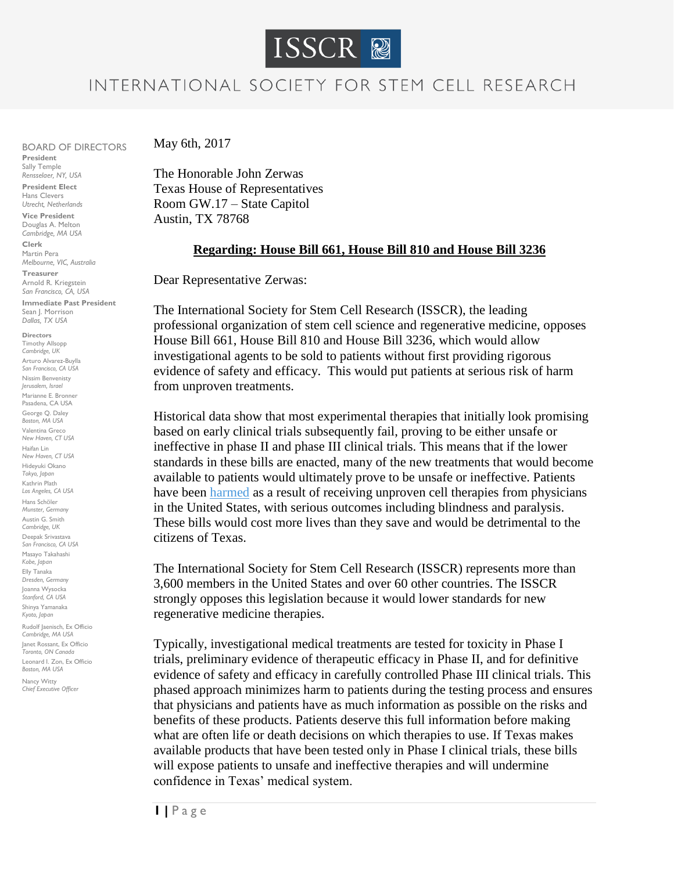

## INTERNATIONAL SOCIETY FOR STEM CELL RESEARCH

BOARD OF DIRECTORS **President** Sally Temple

*Rensselaer, NY, USA* **President Elect**  Hans Clevers *Utrecht, Netherlands*

**Vice President** Douglas A. Melton *Cambridge, MA USA*

**Clerk** Martin Pera *Melbourne, VIC, Australia*

**Treasurer** Arnold R. Kriegstein *San Francisco, CA, USA* **Immediate Past President**  Sean J. Morrison *Dallas, TX USA*

**Directors**  Timothy Allsopp *Cambridge, UK* Arturo Alvarez-Buylla *San Francisco, CA USA* Nissim Benvenisty *Jerusalem, Israel* Marianne E. Bronner Pasadena, CA USA George Q. Daley *Boston, MA USA* Valentina Greco *New Haven, CT USA* Haifan Lin *New Haven, CT USA* Hideyuki Okano *Tokyo, Japan* Kathrin Plath *Los Angeles, CA USA* Hans Schöler *Munster, Germany* Austin G. Smith *Cambridge, UK* Deepak Srivastava *San Francisco, CA USA* Masayo Takahashi *Kobe, Japan* Elly Tanaka *Dresden, Germany*  Joanna Wysocka *Stanford, CA USA* Shinya Yamanaka *Kyoto, Japan* Rudolf Jaenisch, Ex Officio *Cambridge, MA USA* Janet Rossant, Ex Officio *Toronto, ON Canada* Leonard I. Zon, Ex Officio *Boston, MA USA*

Nancy Witty *Chief Executive Officer*  May 6th, 2017

The Honorable John Zerwas Texas House of Representatives Room GW.17 – State Capitol Austin, TX 78768

## **Regarding: House Bill 661, House Bill 810 and House Bill 3236**

Dear Representative Zerwas:

The International Society for Stem Cell Research (ISSCR), the leading professional organization of stem cell science and regenerative medicine, opposes House Bill 661, House Bill 810 and House Bill 3236, which would allow investigational agents to be sold to patients without first providing rigorous evidence of safety and efficacy. This would put patients at serious risk of harm from unproven treatments.

Historical data show that most experimental therapies that initially look promising based on early clinical trials subsequently fail, proving to be either unsafe or ineffective in phase II and phase III clinical trials. This means that if the lower standards in these bills are enacted, many of the new treatments that would become available to patients would ultimately prove to be unsafe or ineffective. Patients have been [harmed](https://www.nytimes.com/2017/03/15/health/eyes-stem-cells-injections.html) as a result of receiving unproven cell therapies from physicians in the United States, with serious outcomes including blindness and paralysis. These bills would cost more lives than they save and would be detrimental to the citizens of Texas.

The International Society for Stem Cell Research (ISSCR) represents more than 3,600 members in the United States and over 60 other countries. The ISSCR strongly opposes this legislation because it would lower standards for new regenerative medicine therapies.

Typically, investigational medical treatments are tested for toxicity in Phase I trials, preliminary evidence of therapeutic efficacy in Phase II, and for definitive evidence of safety and efficacy in carefully controlled Phase III clinical trials. This phased approach minimizes harm to patients during the testing process and ensures that physicians and patients have as much information as possible on the risks and benefits of these products. Patients deserve this full information before making what are often life or death decisions on which therapies to use. If Texas makes available products that have been tested only in Phase I clinical trials, these bills will expose patients to unsafe and ineffective therapies and will undermine confidence in Texas' medical system.